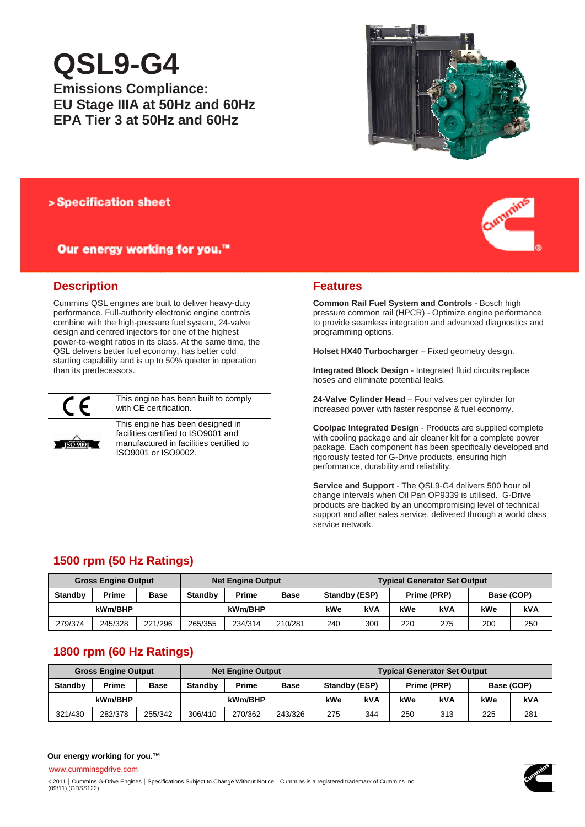# **QSL9-G4**

**Emissions Compliance: EU Stage IIIA at 50Hz and 60Hz EPA Tier 3 at 50Hz and 60Hz** 



# > Specification sheet

# Our energy working for you.™



# **Description**

Cummins QSL engines are built to deliver heavy-duty performance. Full-authority electronic engine controls combine with the high-pressure fuel system, 24-valve design and centred injectors for one of the highest power-to-weight ratios in its class. At the same time, the QSL delivers better fuel economy, has better cold starting capability and is up to 50% quieter in operation than its predecessors.



This engine has been built to comply with CE certification.

**ISO 9001** 

This engine has been designed in facilities certified to ISO9001 and manufactured in facilities certified to ISO9001 or ISO9002.

## **Features**

**Common Rail Fuel System and Controls** - Bosch high pressure common rail (HPCR) - Optimize engine performance to provide seamless integration and advanced diagnostics and programming options.

**Holset HX40 Turbocharger** – Fixed geometry design.

**Integrated Block Design** - Integrated fluid circuits replace hoses and eliminate potential leaks.

**24-Valve Cylinder Head** – Four valves per cylinder for increased power with faster response & fuel economy.

**Coolpac Integrated Design** - Products are supplied complete with cooling package and air cleaner kit for a complete power package. Each component has been specifically developed and rigorously tested for G-Drive products, ensuring high performance, durability and reliability.

**Service and Support** - The QSL9-G4 delivers 500 hour oil change intervals when Oil Pan OP9339 is utilised. G-Drive products are backed by an uncompromising level of technical support and after sales service, delivered through a world class service network.

# **1500 rpm (50 Hz Ratings)**

| <b>Gross Engine Output</b> |              |             | <b>Net Engine Output</b> |         |             | <b>Typical Generator Set Output</b> |     |             |            |            |     |
|----------------------------|--------------|-------------|--------------------------|---------|-------------|-------------------------------------|-----|-------------|------------|------------|-----|
| <b>Standby</b>             | <b>Prime</b> | <b>Base</b> | <b>Standby</b>           | Prime   | <b>Base</b> | Standby (ESP)                       |     | Prime (PRP) |            | Base (COP) |     |
| kWm/BHP                    |              |             |                          | kWm/BHP |             | kWe                                 | kVA | kWe         | <b>kVA</b> | kWe        | kVA |
| 279/374                    | 245/328      | 221/296     | 265/355                  | 234/314 | 210/281     | 240                                 | 300 | 220         | 275        | 200        | 250 |

# **1800 rpm (60 Hz Ratings)**

| <b>Gross Engine Output</b> |              |             | <b>Net Engine Output</b> |         |         | <b>Typical Generator Set Output</b> |     |     |            |            |     |
|----------------------------|--------------|-------------|--------------------------|---------|---------|-------------------------------------|-----|-----|------------|------------|-----|
| <b>Standby</b>             | <b>Prime</b> | <b>Base</b> | <b>Standby</b>           | Prime   | Base    | Standby (ESP)<br>Prime (PRP)        |     |     |            | Base (COP) |     |
| kWm/BHP                    |              |             |                          | kWm/BHP |         | kWe                                 | kVA | kWe | <b>kVA</b> | kWe        | kVA |
| 321/430                    | 282/378      | 255/342     | 306/410                  | 270/362 | 243/326 | 275                                 | 344 | 250 | 313        | 225        | 281 |

## **Our energy working for you.™**